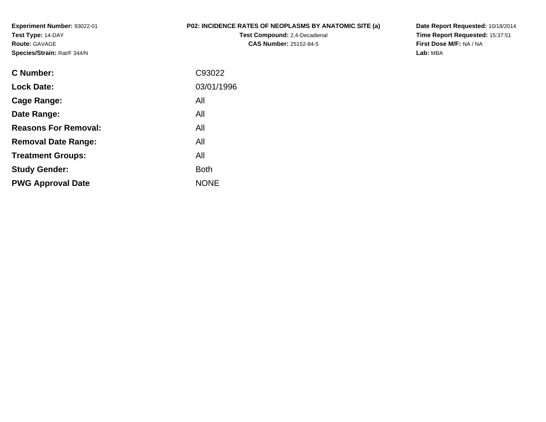**Experiment Number:** 93022-01**Test Type:** 14-DAY**Route:** GAVAGE**Species/Strain:** Rat/F 344/N

## **P02: INCIDENCE RATES OF NEOPLASMS BY ANATOMIC SITE (a)**

**Test Compound:** 2,4-Decadienal **CAS Number:** 25152-84-5

**Date Report Requested:** 10/18/2014 **Time Report Requested:** 15:37:51**First Dose M/F:** NA / NA**Lab:** MBA

| C Number:                   | C93022      |
|-----------------------------|-------------|
| <b>Lock Date:</b>           | 03/01/1996  |
| Cage Range:                 | All         |
| Date Range:                 | All         |
| <b>Reasons For Removal:</b> | All         |
| <b>Removal Date Range:</b>  | All         |
| <b>Treatment Groups:</b>    | All         |
| <b>Study Gender:</b>        | <b>Both</b> |
| <b>PWG Approval Date</b>    | <b>NONE</b> |
|                             |             |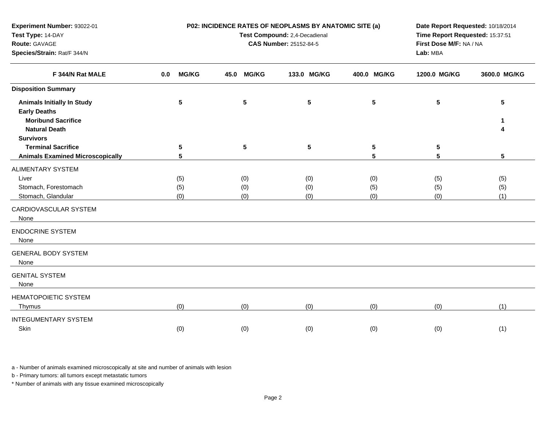| Test Type: 14-DAY                                                     |                      | Test Compound: 2,4-Decadienal | Time Report Requested: 15:37:51 |                   |                                     |                   |  |
|-----------------------------------------------------------------------|----------------------|-------------------------------|---------------------------------|-------------------|-------------------------------------|-------------------|--|
| Route: GAVAGE<br>Species/Strain: Rat/F 344/N                          |                      |                               | <b>CAS Number: 25152-84-5</b>   |                   | First Dose M/F: NA / NA<br>Lab: MBA |                   |  |
| F 344/N Rat MALE                                                      | <b>MG/KG</b><br>0.0  | <b>MG/KG</b><br>45.0          | 133.0 MG/KG                     | 400.0 MG/KG       | 1200.0 MG/KG                        | 3600.0 MG/KG      |  |
| <b>Disposition Summary</b>                                            |                      |                               |                                 |                   |                                     |                   |  |
| <b>Animals Initially In Study</b><br><b>Early Deaths</b>              | $5\phantom{.0}$      | ${\bf 5}$                     | $5\phantom{.0}$                 | $5\phantom{.0}$   | 5                                   | $5\phantom{.0}$   |  |
| <b>Moribund Sacrifice</b><br><b>Natural Death</b><br><b>Survivors</b> |                      |                               |                                 |                   |                                     | 1<br>4            |  |
| <b>Terminal Sacrifice</b><br><b>Animals Examined Microscopically</b>  | $5\phantom{.0}$<br>5 | $5\phantom{1}$                | $5\phantom{.0}$                 | 5<br>5            | 5<br>5                              | $5\phantom{.0}$   |  |
| <b>ALIMENTARY SYSTEM</b>                                              |                      |                               |                                 |                   |                                     |                   |  |
| Liver<br>Stomach, Forestomach<br>Stomach, Glandular                   | (5)<br>(5)<br>(0)    | (0)<br>(0)<br>(0)             | (0)<br>(0)<br>(0)               | (0)<br>(5)<br>(0) | (5)<br>(5)<br>(0)                   | (5)<br>(5)<br>(1) |  |
| CARDIOVASCULAR SYSTEM<br>None                                         |                      |                               |                                 |                   |                                     |                   |  |
| <b>ENDOCRINE SYSTEM</b><br>None                                       |                      |                               |                                 |                   |                                     |                   |  |
| <b>GENERAL BODY SYSTEM</b><br>None                                    |                      |                               |                                 |                   |                                     |                   |  |
| <b>GENITAL SYSTEM</b><br>None                                         |                      |                               |                                 |                   |                                     |                   |  |
| <b>HEMATOPOIETIC SYSTEM</b><br>Thymus                                 | (0)                  | (0)                           | (0)                             | (0)               | (0)                                 | (1)               |  |
| <b>INTEGUMENTARY SYSTEM</b><br>Skin                                   | (0)                  | (0)                           | (0)                             | (0)               | (0)                                 | (1)               |  |

**P02: INCIDENCE RATES OF NEOPLASMS BY ANATOMIC SITE (a)**

**Date Report Requested:** 10/18/2014

a - Number of animals examined microscopically at site and number of animals with lesion

b - Primary tumors: all tumors except metastatic tumors

**Experiment Number:** 93022-01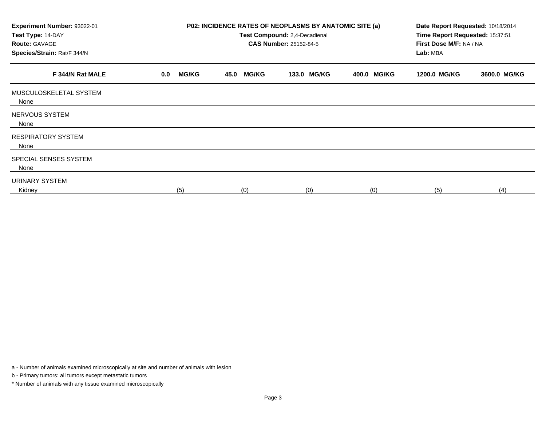| Experiment Number: 93022-01<br>Test Type: 14-DAY<br><b>Route: GAVAGE</b><br>Species/Strain: Rat/F 344/N | <b>P02: INCIDENCE RATES OF NEOPLASMS BY ANATOMIC SITE (a)</b><br>Test Compound: 2,4-Decadienal<br><b>CAS Number: 25152-84-5</b> |                      |             |             | Date Report Requested: 10/18/2014<br>Time Report Requested: 15:37:51<br>First Dose M/F: NA / NA<br>Lab: MBA |              |  |
|---------------------------------------------------------------------------------------------------------|---------------------------------------------------------------------------------------------------------------------------------|----------------------|-------------|-------------|-------------------------------------------------------------------------------------------------------------|--------------|--|
| F 344/N Rat MALE                                                                                        | <b>MG/KG</b><br>0.0                                                                                                             | <b>MG/KG</b><br>45.0 | 133.0 MG/KG | 400.0 MG/KG | 1200.0 MG/KG                                                                                                | 3600.0 MG/KG |  |
| MUSCULOSKELETAL SYSTEM<br>None                                                                          |                                                                                                                                 |                      |             |             |                                                                                                             |              |  |
| NERVOUS SYSTEM<br>None                                                                                  |                                                                                                                                 |                      |             |             |                                                                                                             |              |  |
| <b>RESPIRATORY SYSTEM</b><br>None                                                                       |                                                                                                                                 |                      |             |             |                                                                                                             |              |  |
| SPECIAL SENSES SYSTEM<br>None                                                                           |                                                                                                                                 |                      |             |             |                                                                                                             |              |  |
| URINARY SYSTEM<br>Kidney                                                                                | (5)                                                                                                                             | (0)                  | (0)         | (0)         | (5)                                                                                                         | (4)          |  |

a - Number of animals examined microscopically at site and number of animals with lesion

b - Primary tumors: all tumors except metastatic tumors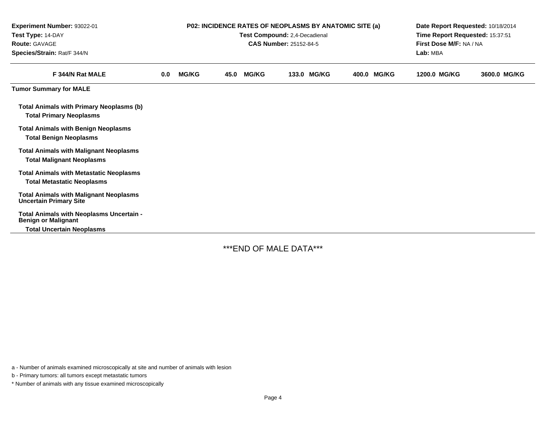| Experiment Number: 93022-01<br>Test Type: 14-DAY<br>Route: GAVAGE<br>Species/Strain: Rat/F 344/N | P02: INCIDENCE RATES OF NEOPLASMS BY ANATOMIC SITE (a)<br>Test Compound: 2,4-Decadienal<br><b>CAS Number: 25152-84-5</b> |              |      |              |       |              |  | Date Report Requested: 10/18/2014<br>Time Report Requested: 15:37:51<br>First Dose M/F: NA / NA<br>Lab: MBA |              |              |
|--------------------------------------------------------------------------------------------------|--------------------------------------------------------------------------------------------------------------------------|--------------|------|--------------|-------|--------------|--|-------------------------------------------------------------------------------------------------------------|--------------|--------------|
| F 344/N Rat MALE                                                                                 | 0.0                                                                                                                      | <b>MG/KG</b> | 45.0 | <b>MG/KG</b> | 133.0 | <b>MG/KG</b> |  | 400.0 MG/KG                                                                                                 | 1200.0 MG/KG | 3600.0 MG/KG |
| <b>Tumor Summary for MALE</b>                                                                    |                                                                                                                          |              |      |              |       |              |  |                                                                                                             |              |              |
| <b>Total Animals with Primary Neoplasms (b)</b><br><b>Total Primary Neoplasms</b>                |                                                                                                                          |              |      |              |       |              |  |                                                                                                             |              |              |
| <b>Total Animals with Benign Neoplasms</b><br><b>Total Benign Neoplasms</b>                      |                                                                                                                          |              |      |              |       |              |  |                                                                                                             |              |              |
| <b>Total Animals with Malignant Neoplasms</b><br><b>Total Malignant Neoplasms</b>                |                                                                                                                          |              |      |              |       |              |  |                                                                                                             |              |              |
| <b>Total Animals with Metastatic Neoplasms</b><br><b>Total Metastatic Neoplasms</b>              |                                                                                                                          |              |      |              |       |              |  |                                                                                                             |              |              |
| <b>Total Animals with Malignant Neoplasms</b><br><b>Uncertain Primary Site</b>                   |                                                                                                                          |              |      |              |       |              |  |                                                                                                             |              |              |
| Total Animals with Neoplasms Uncertain -<br><b>Benign or Malignant</b>                           |                                                                                                                          |              |      |              |       |              |  |                                                                                                             |              |              |
| <b>Total Uncertain Neoplasms</b>                                                                 |                                                                                                                          |              |      |              |       |              |  |                                                                                                             |              |              |

\*\*\*END OF MALE DATA\*\*\*

a - Number of animals examined microscopically at site and number of animals with lesion

b - Primary tumors: all tumors except metastatic tumors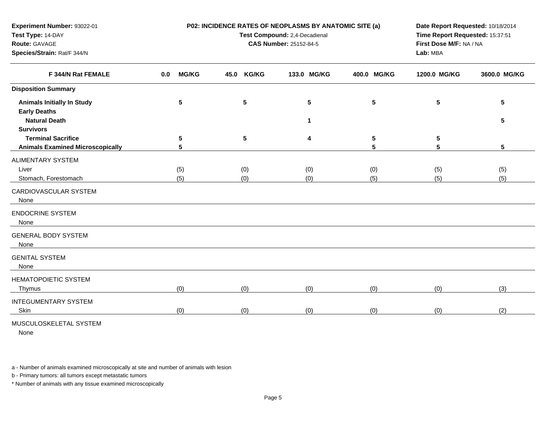| Test Type: 14-DAY                       |                     | Test Compound: 2,4-Decadienal | Time Report Requested: 15:37:51 |                                     |              |              |
|-----------------------------------------|---------------------|-------------------------------|---------------------------------|-------------------------------------|--------------|--------------|
| Route: GAVAGE                           |                     | <b>CAS Number: 25152-84-5</b> |                                 | First Dose M/F: NA / NA<br>Lab: MBA |              |              |
| Species/Strain: Rat/F 344/N             |                     |                               |                                 |                                     |              |              |
| F 344/N Rat FEMALE                      | <b>MG/KG</b><br>0.0 | <b>KG/KG</b><br>45.0          | 133.0 MG/KG                     | 400.0 MG/KG                         | 1200.0 MG/KG | 3600.0 MG/KG |
| <b>Disposition Summary</b>              |                     |                               |                                 |                                     |              |              |
| <b>Animals Initially In Study</b>       | 5                   | 5                             | 5                               | 5                                   | 5            | 5            |
| <b>Early Deaths</b>                     |                     |                               |                                 |                                     |              |              |
| <b>Natural Death</b>                    |                     |                               | 1                               |                                     |              | 5            |
| <b>Survivors</b>                        |                     |                               |                                 |                                     |              |              |
| <b>Terminal Sacrifice</b>               | 5                   | ${\bf 5}$                     | 4                               | 5                                   | 5            |              |
| <b>Animals Examined Microscopically</b> | 5                   |                               |                                 | $5\phantom{1}$                      | 5            | 5            |
| <b>ALIMENTARY SYSTEM</b>                |                     |                               |                                 |                                     |              |              |
| Liver                                   | (5)                 | (0)                           | (0)                             | (0)                                 | (5)          | (5)          |
| Stomach, Forestomach                    | (5)                 | (0)                           | (0)                             | (5)                                 | (5)          | (5)          |
| CARDIOVASCULAR SYSTEM<br>None           |                     |                               |                                 |                                     |              |              |
| <b>ENDOCRINE SYSTEM</b><br>None         |                     |                               |                                 |                                     |              |              |
| <b>GENERAL BODY SYSTEM</b><br>None      |                     |                               |                                 |                                     |              |              |
| <b>GENITAL SYSTEM</b><br>None           |                     |                               |                                 |                                     |              |              |
| <b>HEMATOPOIETIC SYSTEM</b>             |                     |                               |                                 |                                     |              |              |
| Thymus                                  | (0)                 | (0)                           | (0)                             | (0)                                 | (0)          | (3)          |
| <b>INTEGUMENTARY SYSTEM</b>             |                     |                               |                                 |                                     |              |              |

**P02: INCIDENCE RATES OF NEOPLASMS BY ANATOMIC SITE (a)**

**Date Report Requested:** 10/18/2014

MUSCULOSKELETAL SYSTEM

**Experiment Number:** 93022-01

None

**Skin** 

a - Number of animals examined microscopically at site and number of animals with lesion

b - Primary tumors: all tumors except metastatic tumors

\* Number of animals with any tissue examined microscopically

n (0) (0) (0) (0) (0) (0) (0) (0) (0) (2)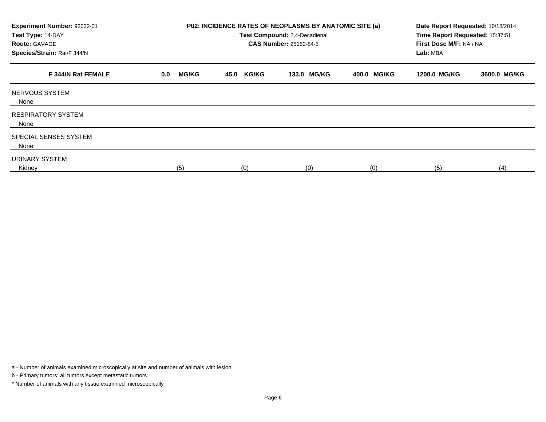| Experiment Number: 93022-01<br>Test Type: 14-DAY<br><b>Route: GAVAGE</b><br>Species/Strain: Rat/F 344/N |                     |                      | P02: INCIDENCE RATES OF NEOPLASMS BY ANATOMIC SITE (a)<br>Test Compound: 2,4-Decadienal<br><b>CAS Number: 25152-84-5</b> | Date Report Requested: 10/18/2014<br>Time Report Requested: 15:37:51<br>First Dose M/F: NA / NA<br>Lab: MBA |              |              |
|---------------------------------------------------------------------------------------------------------|---------------------|----------------------|--------------------------------------------------------------------------------------------------------------------------|-------------------------------------------------------------------------------------------------------------|--------------|--------------|
| F 344/N Rat FEMALE                                                                                      | <b>MG/KG</b><br>0.0 | <b>KG/KG</b><br>45.0 | 133.0 MG/KG                                                                                                              | 400.0 MG/KG                                                                                                 | 1200.0 MG/KG | 3600.0 MG/KG |
| NERVOUS SYSTEM<br>None                                                                                  |                     |                      |                                                                                                                          |                                                                                                             |              |              |
| <b>RESPIRATORY SYSTEM</b><br>None                                                                       |                     |                      |                                                                                                                          |                                                                                                             |              |              |
| SPECIAL SENSES SYSTEM<br>None                                                                           |                     |                      |                                                                                                                          |                                                                                                             |              |              |
| URINARY SYSTEM<br>Kidney                                                                                | (5)                 | (0)                  | (0)                                                                                                                      | (0)                                                                                                         | (5)          | (4)          |

a - Number of animals examined microscopically at site and number of animals with lesion

b - Primary tumors: all tumors except metastatic tumors